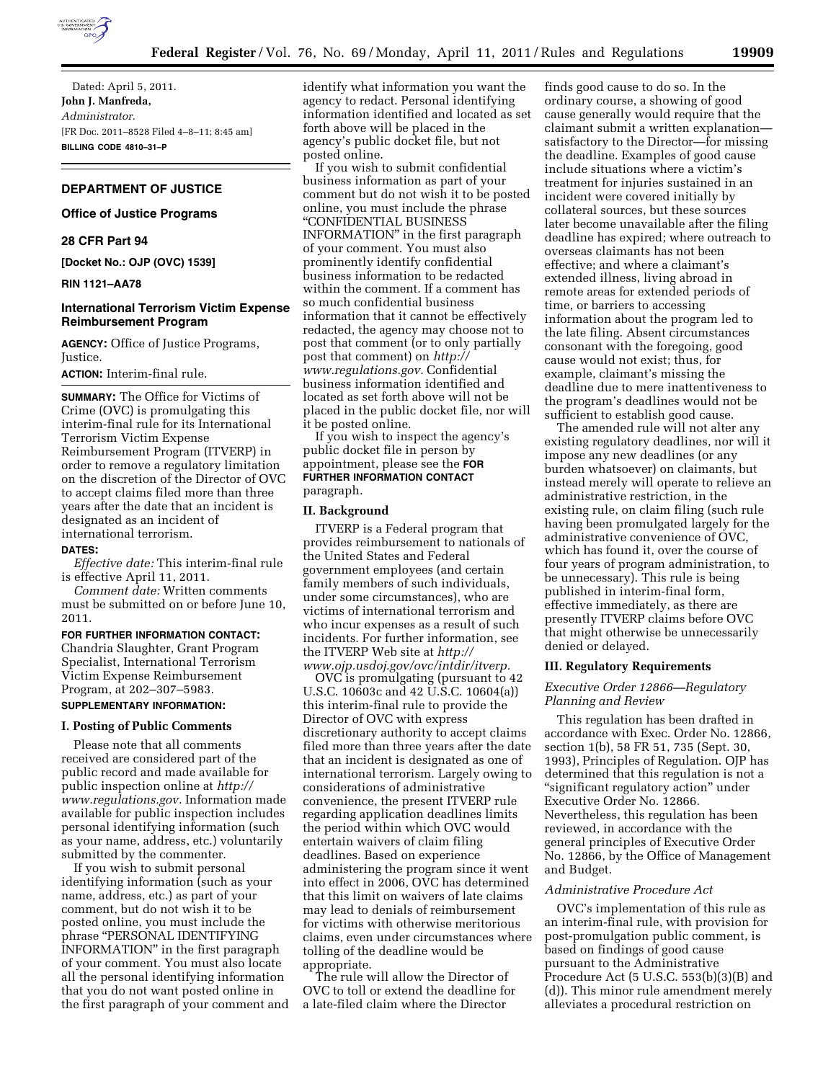

Dated: April 5, 2011. **John J. Manfreda,**  *Administrator.*  [FR Doc. 2011–8528 Filed 4–8–11; 8:45 am] **BILLING CODE 4810–31–P** 

# **DEPARTMENT OF JUSTICE**

# **Office of Justice Programs**

# **28 CFR Part 94**

**[Docket No.: OJP (OVC) 1539]** 

## **RIN 1121–AA78**

### **International Terrorism Victim Expense Reimbursement Program**

**AGENCY:** Office of Justice Programs, Justice.

**ACTION:** Interim-final rule.

**SUMMARY:** The Office for Victims of Crime (OVC) is promulgating this interim-final rule for its International Terrorism Victim Expense Reimbursement Program (ITVERP) in order to remove a regulatory limitation on the discretion of the Director of OVC to accept claims filed more than three years after the date that an incident is designated as an incident of international terrorism.

#### **DATES:**

*Effective date:* This interim-final rule is effective April 11, 2011.

*Comment date:* Written comments must be submitted on or before June 10, 2011.

# **FOR FURTHER INFORMATION CONTACT:**  Chandria Slaughter, Grant Program Specialist, International Terrorism Victim Expense Reimbursement Program, at 202–307–5983.

### **SUPPLEMENTARY INFORMATION:**

### **I. Posting of Public Comments**

Please note that all comments received are considered part of the public record and made available for public inspection online at *[http://](http://www.regulations.gov) [www.regulations.gov.](http://www.regulations.gov)* Information made available for public inspection includes personal identifying information (such as your name, address, etc.) voluntarily submitted by the commenter.

If you wish to submit personal identifying information (such as your name, address, etc.) as part of your comment, but do not wish it to be posted online, you must include the phrase ''PERSONAL IDENTIFYING INFORMATION'' in the first paragraph of your comment. You must also locate all the personal identifying information that you do not want posted online in the first paragraph of your comment and identify what information you want the agency to redact. Personal identifying information identified and located as set forth above will be placed in the agency's public docket file, but not posted online.

If you wish to submit confidential business information as part of your comment but do not wish it to be posted online, you must include the phrase ''CONFIDENTIAL BUSINESS

INFORMATION'' in the first paragraph of your comment. You must also prominently identify confidential business information to be redacted within the comment. If a comment has so much confidential business information that it cannot be effectively redacted, the agency may choose not to post that comment (or to only partially post that comment) on *[http://](http://www.regulations.gov)  [www.regulations.gov.](http://www.regulations.gov)* Confidential business information identified and located as set forth above will not be placed in the public docket file, nor will it be posted online.

If you wish to inspect the agency's public docket file in person by appointment, please see the **FOR FURTHER INFORMATION CONTACT** paragraph.

### **II. Background**

ITVERP is a Federal program that provides reimbursement to nationals of the United States and Federal government employees (and certain family members of such individuals, under some circumstances), who are victims of international terrorism and who incur expenses as a result of such incidents. For further information, see the ITVERP Web site at *[http://](http://www.ojp.usdoj.gov/ovc/intdir/itverp)  [www.ojp.usdoj.gov/ovc/intdir/itverp.](http://www.ojp.usdoj.gov/ovc/intdir/itverp)* 

OVC is promulgating (pursuant to 42 U.S.C. 10603c and 42 U.S.C. 10604(a)) this interim-final rule to provide the Director of OVC with express discretionary authority to accept claims filed more than three years after the date that an incident is designated as one of international terrorism. Largely owing to considerations of administrative convenience, the present ITVERP rule regarding application deadlines limits the period within which OVC would entertain waivers of claim filing deadlines. Based on experience administering the program since it went into effect in 2006, OVC has determined that this limit on waivers of late claims may lead to denials of reimbursement for victims with otherwise meritorious claims, even under circumstances where tolling of the deadline would be appropriate.

The rule will allow the Director of OVC to toll or extend the deadline for a late-filed claim where the Director

finds good cause to do so. In the ordinary course, a showing of good cause generally would require that the claimant submit a written explanation satisfactory to the Director—for missing the deadline. Examples of good cause include situations where a victim's treatment for injuries sustained in an incident were covered initially by collateral sources, but these sources later become unavailable after the filing deadline has expired; where outreach to overseas claimants has not been effective; and where a claimant's extended illness, living abroad in remote areas for extended periods of time, or barriers to accessing information about the program led to the late filing. Absent circumstances consonant with the foregoing, good cause would not exist; thus, for example, claimant's missing the deadline due to mere inattentiveness to the program's deadlines would not be sufficient to establish good cause.

The amended rule will not alter any existing regulatory deadlines, nor will it impose any new deadlines (or any burden whatsoever) on claimants, but instead merely will operate to relieve an administrative restriction, in the existing rule, on claim filing (such rule having been promulgated largely for the administrative convenience of OVC, which has found it, over the course of four years of program administration, to be unnecessary). This rule is being published in interim-final form, effective immediately, as there are presently ITVERP claims before OVC that might otherwise be unnecessarily denied or delayed.

### **III. Regulatory Requirements**

## *Executive Order 12866—Regulatory Planning and Review*

This regulation has been drafted in accordance with Exec. Order No. 12866, section 1(b), 58 FR 51, 735 (Sept. 30, 1993), Principles of Regulation. OJP has determined that this regulation is not a ''significant regulatory action'' under Executive Order No. 12866. Nevertheless, this regulation has been reviewed, in accordance with the general principles of Executive Order No. 12866, by the Office of Management and Budget.

#### *Administrative Procedure Act*

OVC's implementation of this rule as an interim-final rule, with provision for post-promulgation public comment, is based on findings of good cause pursuant to the Administrative Procedure Act (5 U.S.C. 553(b)(3)(B) and (d)). This minor rule amendment merely alleviates a procedural restriction on